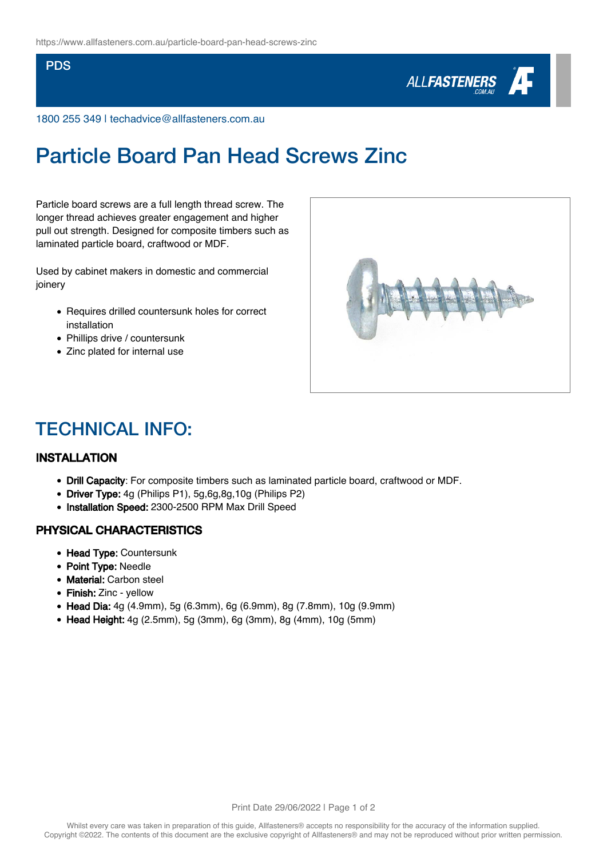#### PDS



1800 255 349 | techadvice@allfasteners.com.au

# Particle Board Pan Head Screws Zinc

Particle board screws are a full length thread screw. The longer thread achieves greater engagement and higher pull out strength. Designed for composite timbers such as laminated particle board, craftwood or MDF.

Used by cabinet makers in domestic and commercial joinery

- Requires drilled countersunk holes for correct installation
- Phillips drive / countersunk
- Zinc plated for internal use



# TECHNICAL INFO:

### INSTALLATION

- Drill Capacity: For composite timbers such as laminated particle board, craftwood or MDF.
- Driver Type: 4g (Philips P1), 5g,6g,8g,10g (Philips P2)
- Installation Speed: 2300-2500 RPM Max Drill Speed

### PHYSICAL CHARACTERISTICS

- Head Type: Countersunk
- Point Type: Needle
- Material: Carbon steel
- Finish: Zinc yellow
- Head Dia: 4g (4.9mm), 5g (6.3mm), 6g (6.9mm), 8g (7.8mm), 10g (9.9mm)
- Head Height: 4g (2.5mm), 5g (3mm), 6g (3mm), 8g (4mm), 10g (5mm)